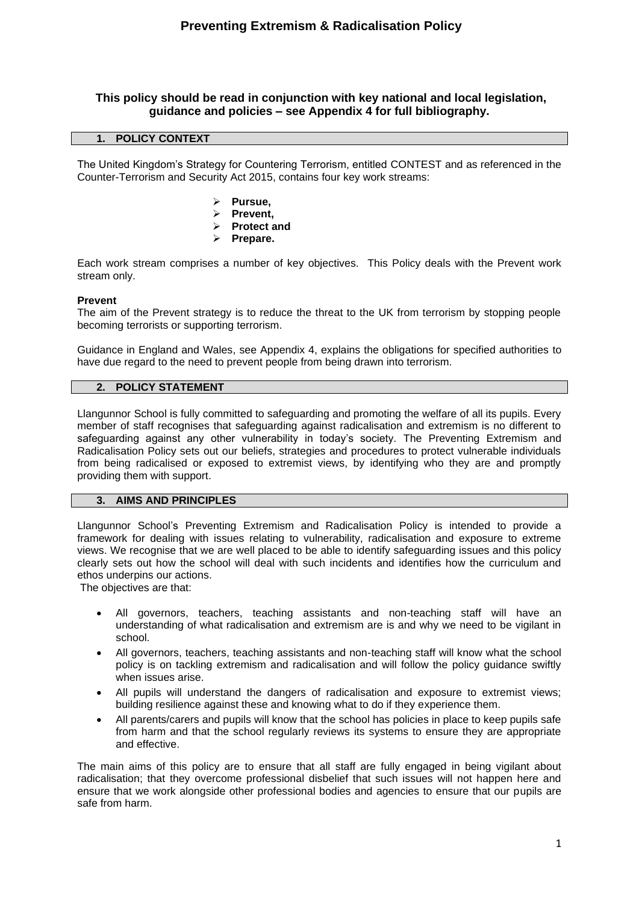## **This policy should be read in conjunction with key national and local legislation, guidance and policies – see Appendix 4 for full bibliography.**

## **1. POLICY CONTEXT**

The United Kingdom's Strategy for Countering Terrorism, entitled CONTEST and as referenced in the Counter-Terrorism and Security Act 2015, contains four key work streams:

- ➢ **Pursue,**
- ➢ **Prevent,**
- ➢ **Protect and**
- ➢ **Prepare.**

Each work stream comprises a number of key objectives. This Policy deals with the Prevent work stream only.

#### **Prevent**

The aim of the Prevent strategy is to reduce the threat to the UK from terrorism by stopping people becoming terrorists or supporting terrorism.

Guidance in England and Wales, see Appendix 4, explains the obligations for specified authorities to have due regard to the need to prevent people from being drawn into terrorism.

## **2. POLICY STATEMENT**

Llangunnor School is fully committed to safeguarding and promoting the welfare of all its pupils. Every member of staff recognises that safeguarding against radicalisation and extremism is no different to safeguarding against any other vulnerability in today's society*.* The Preventing Extremism and Radicalisation Policy sets out our beliefs, strategies and procedures to protect vulnerable individuals from being radicalised or exposed to extremist views, by identifying who they are and promptly providing them with support.

#### **3. AIMS AND PRINCIPLES**

Llangunnor School's Preventing Extremism and Radicalisation Policy is intended to provide a framework for dealing with issues relating to vulnerability, radicalisation and exposure to extreme views. We recognise that we are well placed to be able to identify safeguarding issues and this policy clearly sets out how the school will deal with such incidents and identifies how the curriculum and ethos underpins our actions.

The objectives are that:

- All governors, teachers, teaching assistants and non-teaching staff will have an understanding of what radicalisation and extremism are is and why we need to be vigilant in school.
- All governors, teachers, teaching assistants and non-teaching staff will know what the school policy is on tackling extremism and radicalisation and will follow the policy guidance swiftly when issues arise.
- All pupils will understand the dangers of radicalisation and exposure to extremist views; building resilience against these and knowing what to do if they experience them.
- All parents/carers and pupils will know that the school has policies in place to keep pupils safe from harm and that the school regularly reviews its systems to ensure they are appropriate and effective.

The main aims of this policy are to ensure that all staff are fully engaged in being vigilant about radicalisation; that they overcome professional disbelief that such issues will not happen here and ensure that we work alongside other professional bodies and agencies to ensure that our pupils are safe from harm.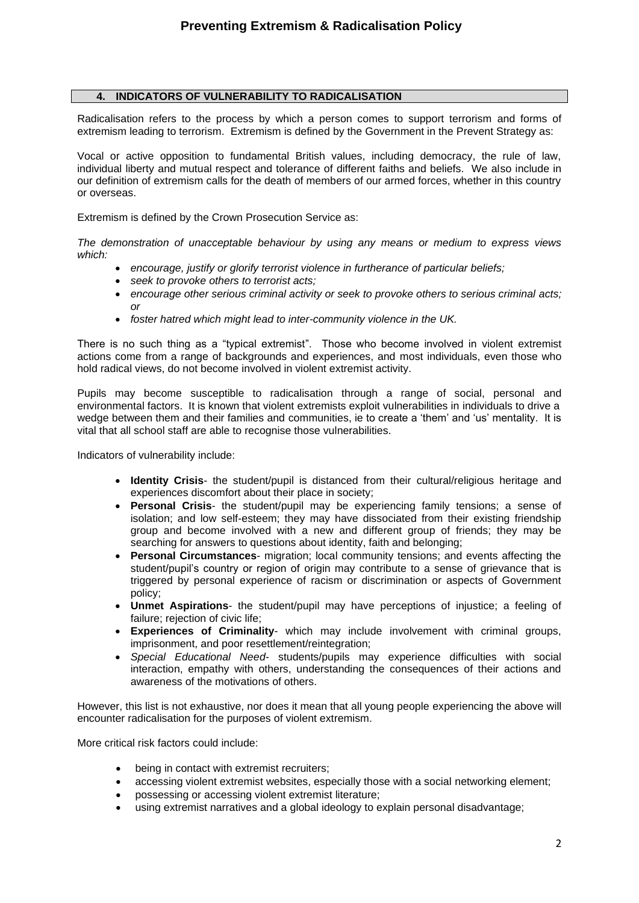## **4. INDICATORS OF VULNERABILITY TO RADICALISATION**

Radicalisation refers to the process by which a person comes to support terrorism and forms of extremism leading to terrorism. Extremism is defined by the Government in the Prevent Strategy as:

Vocal or active opposition to fundamental British values, including democracy, the rule of law, individual liberty and mutual respect and tolerance of different faiths and beliefs. We also include in our definition of extremism calls for the death of members of our armed forces, whether in this country or overseas.

Extremism is defined by the Crown Prosecution Service as:

*The demonstration of unacceptable behaviour by using any means or medium to express views which:*

- *encourage, justify or glorify terrorist violence in furtherance of particular beliefs;*
- *seek to provoke others to terrorist acts;*
- *encourage other serious criminal activity or seek to provoke others to serious criminal acts; or*
- *foster hatred which might lead to inter-community violence in the UK.*

There is no such thing as a "typical extremist". Those who become involved in violent extremist actions come from a range of backgrounds and experiences, and most individuals, even those who hold radical views, do not become involved in violent extremist activity.

Pupils may become susceptible to radicalisation through a range of social, personal and environmental factors. It is known that violent extremists exploit vulnerabilities in individuals to drive a wedge between them and their families and communities, ie to create a 'them' and 'us' mentality. It is vital that all school staff are able to recognise those vulnerabilities.

Indicators of vulnerability include:

- **Identity Crisis** the student/pupil is distanced from their cultural/religious heritage and experiences discomfort about their place in society;
- **Personal Crisis** the student/pupil may be experiencing family tensions; a sense of isolation; and low self-esteem; they may have dissociated from their existing friendship group and become involved with a new and different group of friends; they may be searching for answers to questions about identity, faith and belonging;
- **Personal Circumstances** migration; local community tensions; and events affecting the student/pupil's country or region of origin may contribute to a sense of grievance that is triggered by personal experience of racism or discrimination or aspects of Government policy;
- **Unmet Aspirations** the student/pupil may have perceptions of injustice; a feeling of failure; rejection of civic life;
- **Experiences of Criminality** which may include involvement with criminal groups, imprisonment, and poor resettlement/reintegration;
- *Special Educational Need* students/pupils may experience difficulties with social interaction, empathy with others, understanding the consequences of their actions and awareness of the motivations of others.

However, this list is not exhaustive, nor does it mean that all young people experiencing the above will encounter radicalisation for the purposes of violent extremism.

More critical risk factors could include:

- being in contact with extremist recruiters;
- accessing violent extremist websites, especially those with a social networking element;
- possessing or accessing violent extremist literature;
- using extremist narratives and a global ideology to explain personal disadvantage;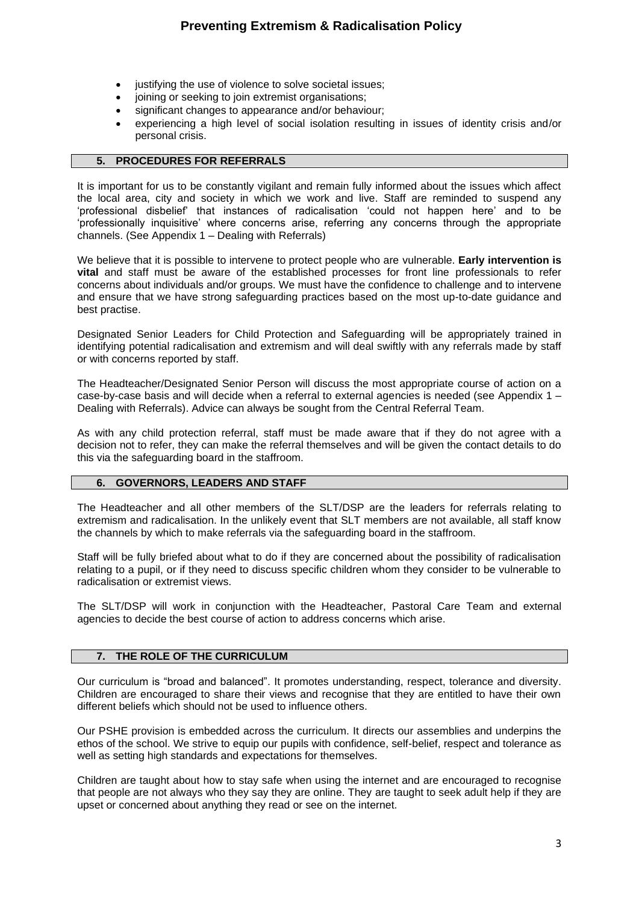- justifying the use of violence to solve societal issues;
- joining or seeking to join extremist organisations;
- significant changes to appearance and/or behaviour;
- experiencing a high level of social isolation resulting in issues of identity crisis and/or personal crisis.

#### **5. PROCEDURES FOR REFERRALS**

It is important for us to be constantly vigilant and remain fully informed about the issues which affect the local area, city and society in which we work and live. Staff are reminded to suspend any 'professional disbelief' that instances of radicalisation 'could not happen here' and to be 'professionally inquisitive' where concerns arise, referring any concerns through the appropriate channels. (See Appendix 1 – Dealing with Referrals)

We believe that it is possible to intervene to protect people who are vulnerable. **Early intervention is vital** and staff must be aware of the established processes for front line professionals to refer concerns about individuals and/or groups. We must have the confidence to challenge and to intervene and ensure that we have strong safeguarding practices based on the most up-to-date guidance and best practise.

Designated Senior Leaders for Child Protection and Safeguarding will be appropriately trained in identifying potential radicalisation and extremism and will deal swiftly with any referrals made by staff or with concerns reported by staff.

The Headteacher/Designated Senior Person will discuss the most appropriate course of action on a case-by-case basis and will decide when a referral to external agencies is needed (see Appendix 1 – Dealing with Referrals). Advice can always be sought from the Central Referral Team.

As with any child protection referral, staff must be made aware that if they do not agree with a decision not to refer, they can make the referral themselves and will be given the contact details to do this via the safeguarding board in the staffroom.

## **6. GOVERNORS, LEADERS AND STAFF**

The Headteacher and all other members of the SLT/DSP are the leaders for referrals relating to extremism and radicalisation. In the unlikely event that SLT members are not available, all staff know the channels by which to make referrals via the safeguarding board in the staffroom.

Staff will be fully briefed about what to do if they are concerned about the possibility of radicalisation relating to a pupil, or if they need to discuss specific children whom they consider to be vulnerable to radicalisation or extremist views.

The SLT/DSP will work in conjunction with the Headteacher, Pastoral Care Team and external agencies to decide the best course of action to address concerns which arise.

## **7. THE ROLE OF THE CURRICULUM**

Our curriculum is "broad and balanced". It promotes understanding, respect, tolerance and diversity. Children are encouraged to share their views and recognise that they are entitled to have their own different beliefs which should not be used to influence others.

Our PSHE provision is embedded across the curriculum. It directs our assemblies and underpins the ethos of the school. We strive to equip our pupils with confidence, self-belief, respect and tolerance as well as setting high standards and expectations for themselves.

Children are taught about how to stay safe when using the internet and are encouraged to recognise that people are not always who they say they are online. They are taught to seek adult help if they are upset or concerned about anything they read or see on the internet.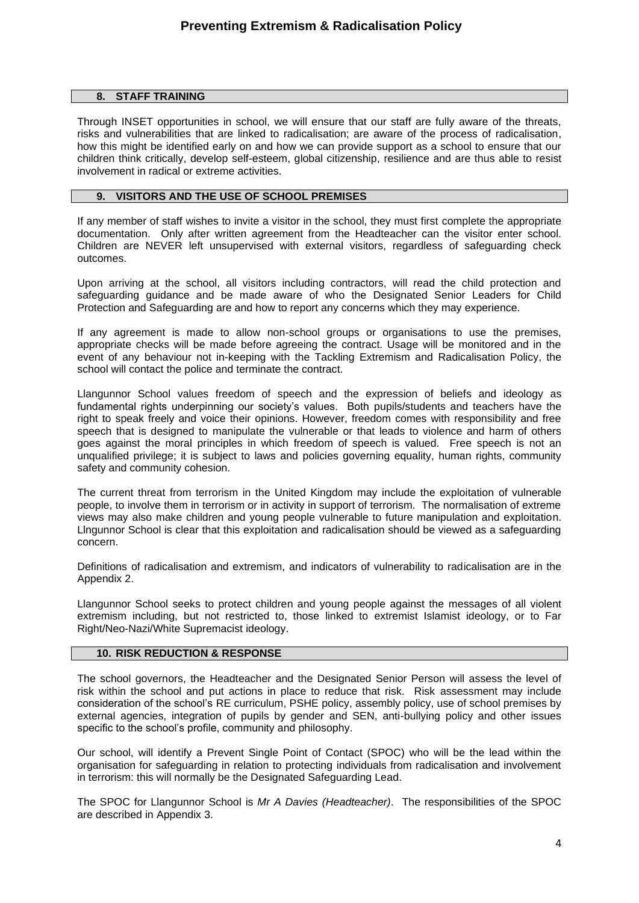#### **8. STAFF TRAINING**

Through INSET opportunities in school, we will ensure that our staff are fully aware of the threats, risks and vulnerabilities that are linked to radicalisation; are aware of the process of radicalisation, how this might be identified early on and how we can provide support as a school to ensure that our children think critically, develop self-esteem, global citizenship, resilience and are thus able to resist involvement in radical or extreme activities.

#### **9. VISITORS AND THE USE OF SCHOOL PREMISES**

If any member of staff wishes to invite a visitor in the school, they must first complete the appropriate documentation. Only after written agreement from the Headteacher can the visitor enter school. Children are NEVER left unsupervised with external visitors, regardless of safeguarding check outcomes.

Upon arriving at the school, all visitors including contractors, will read the child protection and safeguarding guidance and be made aware of who the Designated Senior Leaders for Child Protection and Safeguarding are and how to report any concerns which they may experience.

If any agreement is made to allow non-school groups or organisations to use the premises, appropriate checks will be made before agreeing the contract. Usage will be monitored and in the event of any behaviour not in-keeping with the Tackling Extremism and Radicalisation Policy, the school will contact the police and terminate the contract.

Llangunnor School values freedom of speech and the expression of beliefs and ideology as fundamental rights underpinning our society's values. Both pupils/students and teachers have the right to speak freely and voice their opinions. However, freedom comes with responsibility and free speech that is designed to manipulate the vulnerable or that leads to violence and harm of others goes against the moral principles in which freedom of speech is valued. Free speech is not an unqualified privilege; it is subject to laws and policies governing equality, human rights, community safety and community cohesion.

The current threat from terrorism in the United Kingdom may include the exploitation of vulnerable people, to involve them in terrorism or in activity in support of terrorism. The normalisation of extreme views may also make children and young people vulnerable to future manipulation and exploitation. Llngunnor School is clear that this exploitation and radicalisation should be viewed as a safeguarding concern.

Definitions of radicalisation and extremism, and indicators of vulnerability to radicalisation are in the Appendix 2.

Llangunnor School seeks to protect children and young people against the messages of all violent extremism including, but not restricted to, those linked to extremist Islamist ideology, or to Far Right/Neo-Nazi/White Supremacist ideology.

## **10. RISK REDUCTION & RESPONSE**

The school governors, the Headteacher and the Designated Senior Person will assess the level of risk within the school and put actions in place to reduce that risk. Risk assessment may include consideration of the school's RE curriculum, PSHE policy, assembly policy, use of school premises by external agencies, integration of pupils by gender and SEN, anti-bullying policy and other issues specific to the school's profile, community and philosophy.

Our school, will identify a Prevent Single Point of Contact (SPOC) who will be the lead within the organisation for safeguarding in relation to protecting individuals from radicalisation and involvement in terrorism: this will normally be the Designated Safeguarding Lead.

The SPOC for Llangunnor School is *Mr A Davies (Headteacher)*. The responsibilities of the SPOC are described in Appendix 3.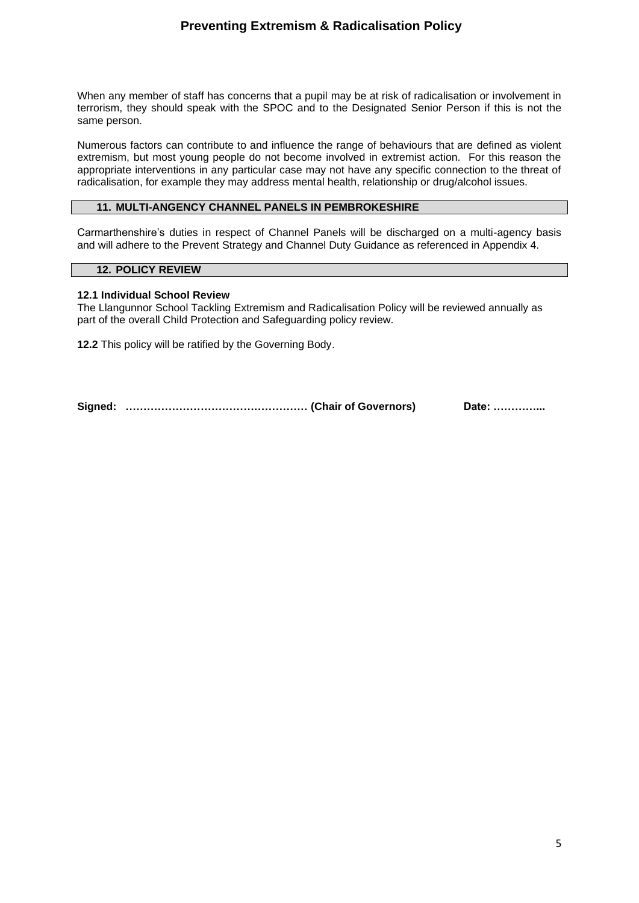## **Preventing Extremism & Radicalisation Policy**

When any member of staff has concerns that a pupil may be at risk of radicalisation or involvement in terrorism, they should speak with the SPOC and to the Designated Senior Person if this is not the same person.

Numerous factors can contribute to and influence the range of behaviours that are defined as violent extremism, but most young people do not become involved in extremist action. For this reason the appropriate interventions in any particular case may not have any specific connection to the threat of radicalisation, for example they may address mental health, relationship or drug/alcohol issues.

## **11. MULTI-ANGENCY CHANNEL PANELS IN PEMBROKESHIRE**

Carmarthenshire's duties in respect of Channel Panels will be discharged on a multi-agency basis and will adhere to the Prevent Strategy and Channel Duty Guidance as referenced in Appendix 4.

#### **12. POLICY REVIEW**

#### **12.1 Individual School Review**

The Llangunnor School Tackling Extremism and Radicalisation Policy will be reviewed annually as part of the overall Child Protection and Safeguarding policy review.

**12.2** This policy will be ratified by the Governing Body.

**Signed: …………………………………………… (Chair of Governors) Date: …………...**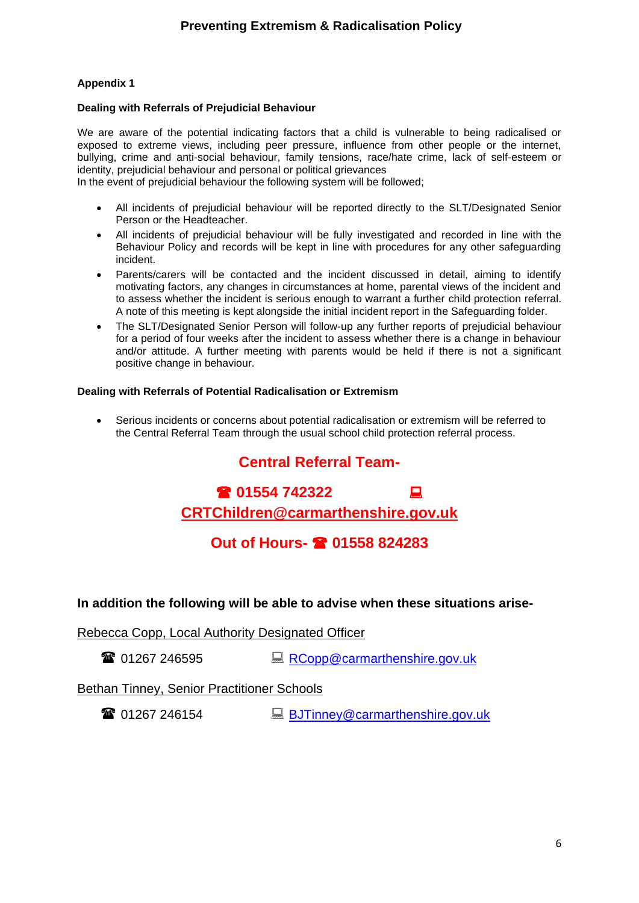## **Dealing with Referrals of Prejudicial Behaviour**

We are aware of the potential indicating factors that a child is vulnerable to being radicalised or exposed to extreme views, including peer pressure, influence from other people or the internet, bullying, crime and anti-social behaviour, family tensions, race/hate crime, lack of self-esteem or identity, prejudicial behaviour and personal or political grievances

In the event of prejudicial behaviour the following system will be followed;

- All incidents of prejudicial behaviour will be reported directly to the SLT/Designated Senior Person or the Headteacher.
- All incidents of prejudicial behaviour will be fully investigated and recorded in line with the Behaviour Policy and records will be kept in line with procedures for any other safeguarding incident.
- Parents/carers will be contacted and the incident discussed in detail, aiming to identify motivating factors, any changes in circumstances at home, parental views of the incident and to assess whether the incident is serious enough to warrant a further child protection referral. A note of this meeting is kept alongside the initial incident report in the Safeguarding folder.
- The SLT/Designated Senior Person will follow-up any further reports of prejudicial behaviour for a period of four weeks after the incident to assess whether there is a change in behaviour and/or attitude. A further meeting with parents would be held if there is not a significant positive change in behaviour.

## **Dealing with Referrals of Potential Radicalisation or Extremism**

• Serious incidents or concerns about potential radicalisation or extremism will be referred to the Central Referral Team through the usual school child protection referral process.

# **Central Referral Team-**

**01554 742322** 

# **[CRTChildren@carmarthenshire.gov.uk](mailto:CRTChildren@carmarthenshire.gov.uk)**

# **Out of Hours- 01558 824283**

## **In addition the following will be able to advise when these situations arise-**

Rebecca Copp, Local Authority Designated Officer

**■ 01267 246595 [RCopp@carmarthenshire.gov.uk](mailto:RCopp@carmarthenshire.gov.uk)** 

## Bethan Tinney, Senior Practitioner Schools

**■ 01267 246154** [BJTinney@carmarthenshire.gov.uk](mailto:BJTinney@carmarthenshire.gov.uk)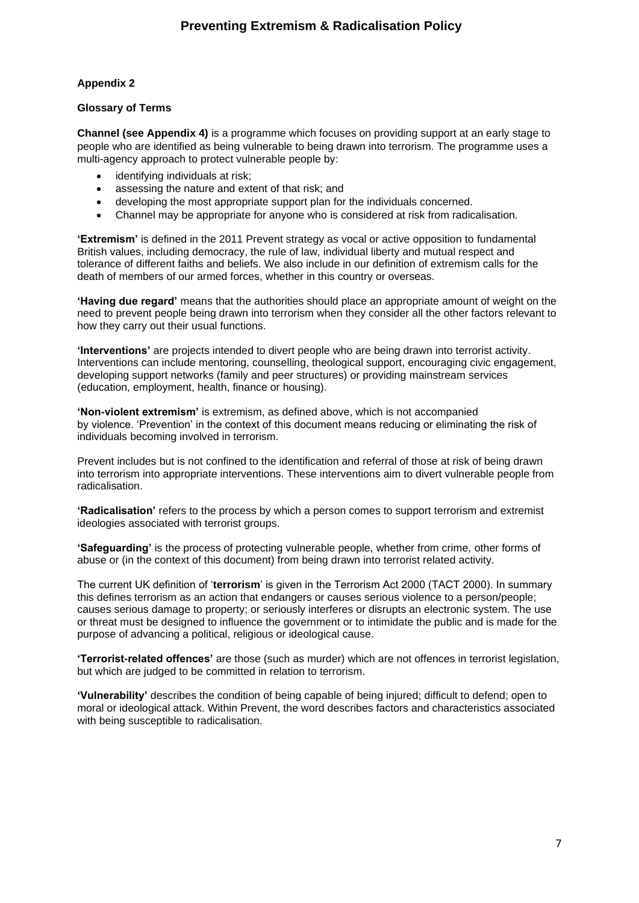## **Glossary of Terms**

**Channel (see Appendix 4)** is a programme which focuses on providing support at an early stage to people who are identified as being vulnerable to being drawn into terrorism. The programme uses a multi-agency approach to protect vulnerable people by:

- identifying individuals at risk;
- assessing the nature and extent of that risk; and
- developing the most appropriate support plan for the individuals concerned.
- Channel may be appropriate for anyone who is considered at risk from radicalisation.

**'Extremism'** is defined in the 2011 Prevent strategy as vocal or active opposition to fundamental British values, including democracy, the rule of law, individual liberty and mutual respect and tolerance of different faiths and beliefs. We also include in our definition of extremism calls for the death of members of our armed forces, whether in this country or overseas.

**'Having due regard'** means that the authorities should place an appropriate amount of weight on the need to prevent people being drawn into terrorism when they consider all the other factors relevant to how they carry out their usual functions.

**'Interventions'** are projects intended to divert people who are being drawn into terrorist activity. Interventions can include mentoring, counselling, theological support, encouraging civic engagement, developing support networks (family and peer structures) or providing mainstream services (education, employment, health, finance or housing).

**'Non-violent extremism'** is extremism, as defined above, which is not accompanied by violence. 'Prevention' in the context of this document means reducing or eliminating the risk of individuals becoming involved in terrorism.

Prevent includes but is not confined to the identification and referral of those at risk of being drawn into terrorism into appropriate interventions. These interventions aim to divert vulnerable people from radicalisation.

**'Radicalisation'** refers to the process by which a person comes to support terrorism and extremist ideologies associated with terrorist groups.

**'Safeguarding'** is the process of protecting vulnerable people, whether from crime, other forms of abuse or (in the context of this document) from being drawn into terrorist related activity.

The current UK definition of '**terrorism**' is given in the Terrorism Act 2000 (TACT 2000). In summary this defines terrorism as an action that endangers or causes serious violence to a person/people; causes serious damage to property; or seriously interferes or disrupts an electronic system. The use or threat must be designed to influence the government or to intimidate the public and is made for the purpose of advancing a political, religious or ideological cause.

**'Terrorist-related offences'** are those (such as murder) which are not offences in terrorist legislation, but which are judged to be committed in relation to terrorism.

**'Vulnerability'** describes the condition of being capable of being injured; difficult to defend; open to moral or ideological attack. Within Prevent, the word describes factors and characteristics associated with being susceptible to radicalisation.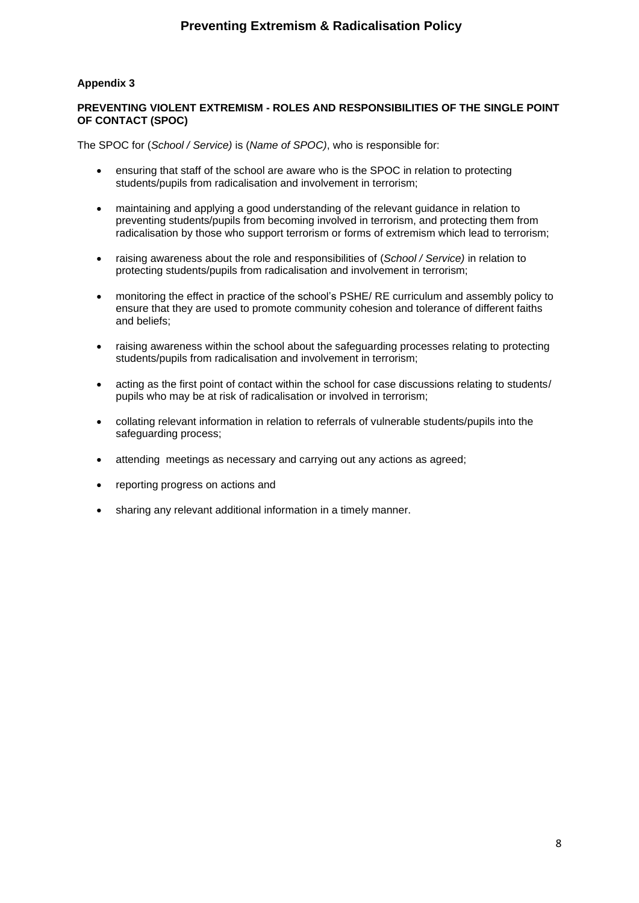## **PREVENTING VIOLENT EXTREMISM - ROLES AND RESPONSIBILITIES OF THE SINGLE POINT OF CONTACT (SPOC)**

The SPOC for (*School / Service)* is (*Name of SPOC)*, who is responsible for:

- ensuring that staff of the school are aware who is the SPOC in relation to protecting students/pupils from radicalisation and involvement in terrorism;
- maintaining and applying a good understanding of the relevant guidance in relation to preventing students/pupils from becoming involved in terrorism, and protecting them from radicalisation by those who support terrorism or forms of extremism which lead to terrorism;
- raising awareness about the role and responsibilities of (*School / Service)* in relation to protecting students/pupils from radicalisation and involvement in terrorism;
- monitoring the effect in practice of the school's PSHE/ RE curriculum and assembly policy to ensure that they are used to promote community cohesion and tolerance of different faiths and beliefs;
- raising awareness within the school about the safeguarding processes relating to protecting students/pupils from radicalisation and involvement in terrorism;
- acting as the first point of contact within the school for case discussions relating to students/ pupils who may be at risk of radicalisation or involved in terrorism;
- collating relevant information in relation to referrals of vulnerable students/pupils into the safeguarding process;
- attending meetings as necessary and carrying out any actions as agreed;
- reporting progress on actions and
- sharing any relevant additional information in a timely manner.